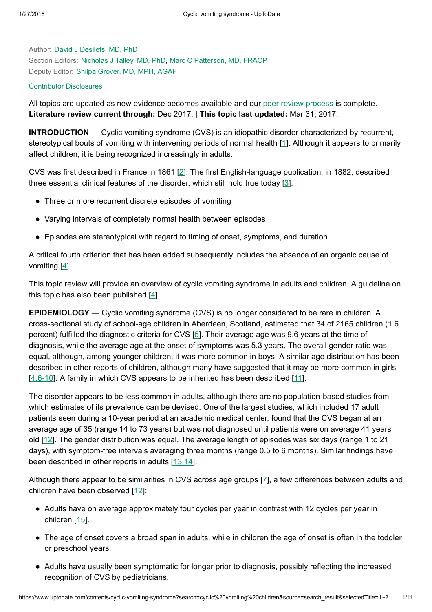Author: David J [Desilets,](https://www.uptodate.com/contents/cyclic-vomiting-syndrome/contributors) MD, PhD Section Editors: [Nicholas](https://www.uptodate.com/contents/cyclic-vomiting-syndrome/contributors) J Talley, MD, PhD, Marc C [Patterson,](https://www.uptodate.com/contents/cyclic-vomiting-syndrome/contributors) MD, FRACP Deputy Editor: Shilpa [Grover,](https://www.uptodate.com/contents/cyclic-vomiting-syndrome/contributors) MD, MPH, AGAF

## Contributor [Disclosures](https://www.uptodate.com/contents/cyclic-vomiting-syndrome/contributor-disclosure)

All topics are updated as new evidence becomes available and our peer review [process](https://www.uptodate.com/home/editorial-policy) is complete. Literature review current through: Dec 2017. | This topic last updated: Mar 31, 2017.

INTRODUCTION — Cyclic vomiting syndrome (CVS) is an idiopathic disorder characterized by recurrent, stereotypical bouts of vomiting with intervening periods of normal health [\[1](https://www.uptodate.com/contents/cyclic-vomiting-syndrome/abstract/1)]. Although it appears to primarily affect children, it is being recognized increasingly in adults.

CVS was first described in France in 1861 [[2\]](https://www.uptodate.com/contents/cyclic-vomiting-syndrome/abstract/2). The first English-language publication, in 1882, described three essential clinical features of the disorder, which still hold true today  $[3]$  $[3]$ :

- Three or more recurrent discrete episodes of vomiting
- Varying intervals of completely normal health between episodes
- Episodes are stereotypical with regard to timing of onset, symptoms, and duration

A critical fourth criterion that has been added subsequently includes the absence of an organic cause of vomiting  $[4]$  $[4]$ .

This topic review will provide an overview of cyclic vomiting syndrome in adults and children. A guideline on this topic has also been published  $[4]$  $[4]$ .

**EPIDEMIOLOGY** — Cyclic vomiting syndrome (CVS) is no longer considered to be rare in children. A cross-sectional study of school-age children in Aberdeen, Scotland, estimated that 34 of 2165 children (1.6 percent) fulfilled the diagnostic criteria for CVS [[5](https://www.uptodate.com/contents/cyclic-vomiting-syndrome/abstract/5)]. Their average age was 9.6 years at the time of diagnosis, while the average age at the onset of symptoms was 5.3 years. The overall gender ratio was equal, although, among younger children, it was more common in boys. A similar age distribution has been described in other reports of children, although many have suggested that it may be more common in girls [[4,6-10](https://www.uptodate.com/contents/cyclic-vomiting-syndrome/abstract/4,6-10)]. A family in which CVS appears to be inherited has been described [[11](https://www.uptodate.com/contents/cyclic-vomiting-syndrome/abstract/11)].

The disorder appears to be less common in adults, although there are no population-based studies from which estimates of its prevalence can be devised. One of the largest studies, which included 17 adult patients seen during a 10-year period at an academic medical center, found that the CVS began at an average age of 35 (range 14 to 73 years) but was not diagnosed until patients were on average 41 years old  $[12]$  $[12]$ . The gender distribution was equal. The average length of episodes was six days (range 1 to 21 days), with symptom-free intervals averaging three months (range 0.5 to 6 months). Similar findings have been described in other reports in adults [\[13,14](https://www.uptodate.com/contents/cyclic-vomiting-syndrome/abstract/13,14)].

Although there appear to be similarities in CVS across age groups [\[7](https://www.uptodate.com/contents/cyclic-vomiting-syndrome/abstract/7)], a few differences between adults and children have been observed [\[12](https://www.uptodate.com/contents/cyclic-vomiting-syndrome/abstract/12)]:

- Adults have on average approximately four cycles per year in contrast with 12 cycles per year in children [[15\]](https://www.uptodate.com/contents/cyclic-vomiting-syndrome/abstract/15).
- The age of onset covers a broad span in adults, while in children the age of onset is often in the toddler or preschool years.
- Adults have usually been symptomatic for longer prior to diagnosis, possibly reflecting the increased recognition of CVS by pediatricians.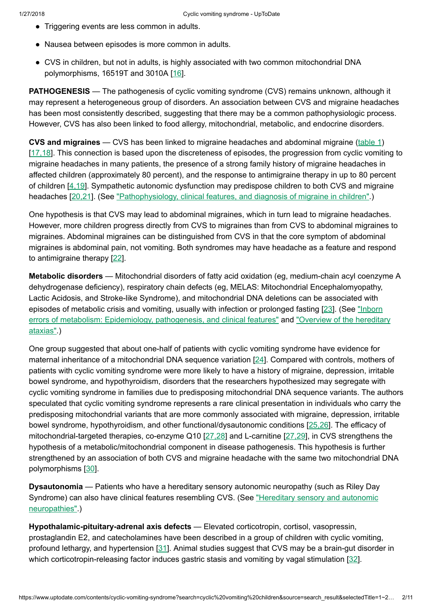- Triggering events are less common in adults.
- Nausea between episodes is more common in adults.
- CVS in children, but not in adults, is highly associated with two common mitochondrial DNA polymorphisms, 16519T and 3010A [[16](https://www.uptodate.com/contents/cyclic-vomiting-syndrome/abstract/16)].

**PATHOGENESIS** — The pathogenesis of cyclic vomiting syndrome (CVS) remains unknown, although it may represent a heterogeneous group of disorders. An association between CVS and migraine headaches has been most consistently described, suggesting that there may be a common pathophysiologic process. However, CVS has also been linked to food allergy, mitochondrial, metabolic, and endocrine disorders.

CVS and migraines  $-$  CVS has been linked to migraine headaches and abdominal migraine [\(table](https://www.uptodate.com/contents/image?imageKey=GAST%2F80667&topicKey=GAST%2F2588&search=cyclic+vomiting+children&rank=1%7E22&source=see_link) 1) [[17,18\]](https://www.uptodate.com/contents/cyclic-vomiting-syndrome/abstract/17,18). This connection is based upon the discreteness of episodes, the progression from cyclic vomiting to migraine headaches in many patients, the presence of a strong family history of migraine headaches in affected children (approximately 80 percent), and the response to antimigraine therapy in up to 80 percent of children [[4,19\]](https://www.uptodate.com/contents/cyclic-vomiting-syndrome/abstract/4,19). Sympathetic autonomic dysfunction may predispose children to both CVS and migraine headaches [[20,21\]](https://www.uptodate.com/contents/cyclic-vomiting-syndrome/abstract/20,21). (See ["Pathophysiology,](https://www.uptodate.com/contents/pathophysiology-clinical-features-and-diagnosis-of-migraine-in-children?source=see_link) clinical features, and diagnosis of migraine in children".)

One hypothesis is that CVS may lead to abdominal migraines, which in turn lead to migraine headaches. However, more children progress directly from CVS to migraines than from CVS to abdominal migraines to migraines. Abdominal migraines can be distinguished from CVS in that the core symptom of abdominal migraines is abdominal pain, not vomiting. Both syndromes may have headache as a feature and respond to antimigraine therapy [[22\]](https://www.uptodate.com/contents/cyclic-vomiting-syndrome/abstract/22).

Metabolic disorders — Mitochondrial disorders of fatty acid oxidation (eg, medium-chain acyl coenzyme A dehydrogenase deficiency), respiratory chain defects (eg, MELAS: Mitochondrial Encephalomyopathy, Lactic Acidosis, and Stroke-like Syndrome), and mitochondrial DNA deletions can be associated with episodes of metabolic crisis and vomiting, usually with infection or prolonged fasting [\[23](https://www.uptodate.com/contents/cyclic-vomiting-syndrome/abstract/23)]. (See "Inborn errors of metabolism: Epidemiology, pathogenesis, and [clinical features"](https://www.uptodate.com/contents/inborn-errors-of-metabolism-epidemiology-pathogenesis-and-clinical-features?source=see_link) and "Overview of the hereditary ataxias".)

One group suggested that about one-half of patients with cyclic vomiting syndrome have evidence for maternal inheritance of a mitochondrial DNA sequence variation [[24\]](https://www.uptodate.com/contents/cyclic-vomiting-syndrome/abstract/24). Compared with controls, mothers of patients with cyclic vomiting syndrome were more likely to have a history of migraine, depression, irritable bowel syndrome, and hypothyroidism, disorders that the researchers hypothesized may segregate with cyclic vomiting syndrome in families due to predisposing mitochondrial DNA sequence variants. The authors speculated that cyclic vomiting syndrome represents a rare clinical presentation in individuals who carry the predisposing mitochondrial variants that are more commonly associated with migraine, depression, irritable bowel syndrome, hypothyroidism, and other functional/dysautonomic conditions [\[25,26](https://www.uptodate.com/contents/cyclic-vomiting-syndrome/abstract/25,26)]. The efficacy of mitochondrial-targeted therapies, co-enzyme Q10 [\[27,28](https://www.uptodate.com/contents/cyclic-vomiting-syndrome/abstract/27,28)] and L-carnitine [[27,29\]](https://www.uptodate.com/contents/cyclic-vomiting-syndrome/abstract/27,29), in CVS strengthens the hypothesis of a metabolic/mitochondrial component in disease pathogenesis. This hypothesis is further strengthened by an association of both CVS and migraine headache with the same two mitochondrial DNA polymorphisms [\[30](https://www.uptodate.com/contents/cyclic-vomiting-syndrome/abstract/30)].

Dysautonomia — Patients who have a hereditary sensory autonomic neuropathy (such as Riley Day Syndrome) can also have [clinical features](https://www.uptodate.com/contents/hereditary-sensory-and-autonomic-neuropathies?source=see_link) resembling CVS. (See "Hereditary sensory and autonomic neuropathies".)

Hypothalamic-pituitary-adrenal axis defects — Elevated corticotropin, cortisol, vasopressin, prostaglandin E2, and catecholamines have been described in a group of children with cyclic vomiting, profound lethargy, and hypertension [[31](https://www.uptodate.com/contents/cyclic-vomiting-syndrome/abstract/31)]. Animal studies suggest that CVS may be a brain-gut disorder in which corticotropin-releasing factor induces gastric stasis and vomiting by vagal stimulation [[32\]](https://www.uptodate.com/contents/cyclic-vomiting-syndrome/abstract/32).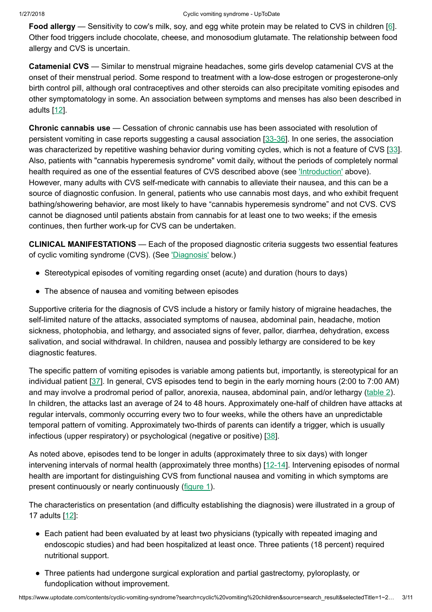Food allergy — Sensitivity to cow's milk, soy, and egg white protein may be related to CVS in children [[6\]](https://www.uptodate.com/contents/cyclic-vomiting-syndrome/abstract/6). Other food triggers include chocolate, cheese, and monosodium glutamate. The relationship between food allergy and CVS is uncertain.

Catamenial CVS — Similar to menstrual migraine headaches, some girls develop catamenial CVS at the onset of their menstrual period. Some respond to treatment with a low-dose estrogen or progesterone-only birth control pill, although oral contraceptives and other steroids can also precipitate vomiting episodes and other symptomatology in some. An association between symptoms and menses has also been described in adults [[12\]](https://www.uptodate.com/contents/cyclic-vomiting-syndrome/abstract/12).

Chronic cannabis use — Cessation of chronic cannabis use has been associated with resolution of persistent vomiting in case reports suggesting a causal association [\[33-36\]](https://www.uptodate.com/contents/cyclic-vomiting-syndrome/abstract/33-36). In one series, the association was characterized by repetitive washing behavior during vomiting cycles, which is not a feature of CVS [[33\]](https://www.uptodate.com/contents/cyclic-vomiting-syndrome/abstract/33). Also, patients with "cannabis hyperemesis syndrome" vomit daily, without the periods of completely normal health required as one of the essential features of CVS described above (see ['Introduction'](https://www.uptodate.com/contents/cyclic-vomiting-syndrome?search=cyclic%20vomiting%20children&source=search_result&selectedTitle=1~22&usage_type=default&display_rank=1#H1) above). However, many adults with CVS self-medicate with cannabis to alleviate their nausea, and this can be a source of diagnostic confusion. In general, patients who use cannabis most days, and who exhibit frequent bathing/showering behavior, are most likely to have "cannabis hyperemesis syndrome" and not CVS. CVS cannot be diagnosed until patients abstain from cannabis for at least one to two weeks; if the emesis continues, then further work-up for CVS can be undertaken.

CLINICAL MANIFESTATIONS — Each of the proposed diagnostic criteria suggests two essential features of cyclic vomiting syndrome (CVS). (See ['Diagnosis'](https://www.uptodate.com/contents/cyclic-vomiting-syndrome?search=cyclic%20vomiting%20children&source=search_result&selectedTitle=1~22&usage_type=default&display_rank=1#H13) below.)

- Stereotypical episodes of vomiting regarding onset (acute) and duration (hours to days)
- The absence of nausea and vomiting between episodes

Supportive criteria for the diagnosis of CVS include a history or family history of migraine headaches, the self-limited nature of the attacks, associated symptoms of nausea, abdominal pain, headache, motion sickness, photophobia, and lethargy, and associated signs of fever, pallor, diarrhea, dehydration, excess salivation, and social withdrawal. In children, nausea and possibly lethargy are considered to be key diagnostic features.

The specific pattern of vomiting episodes is variable among patients but, importantly, is stereotypical for an individual patient [[37\]](https://www.uptodate.com/contents/cyclic-vomiting-syndrome/abstract/37). In general, CVS episodes tend to begin in the early morning hours (2:00 to 7:00 AM) and may involve a prodromal period of pallor, anorexia, nausea, abdominal pain, and/or lethargy [\(table](https://www.uptodate.com/contents/image?imageKey=GAST%2F62483&topicKey=GAST%2F2588&search=cyclic+vomiting+children&rank=1%7E22&source=see_link) 2). In children, the attacks last an average of 24 to 48 hours. Approximately one-half of children have attacks at regular intervals, commonly occurring every two to four weeks, while the others have an unpredictable temporal pattern of vomiting. Approximately two-thirds of parents can identify a trigger, which is usually infectious (upper respiratory) or psychological (negative or positive) [\[38](https://www.uptodate.com/contents/cyclic-vomiting-syndrome/abstract/38)].

As noted above, episodes tend to be longer in adults (approximately three to six days) with longer intervening intervals of normal health (approximately three months) [[12-14\]](https://www.uptodate.com/contents/cyclic-vomiting-syndrome/abstract/12-14). Intervening episodes of normal health are important for distinguishing CVS from functional nausea and vomiting in which symptoms are present continuously or nearly continuously [\(figure](https://www.uptodate.com/contents/image?imageKey=GAST%2F54863&topicKey=GAST%2F2588&search=cyclic+vomiting+children&rank=1%7E22&source=see_link) 1).

The characteristics on presentation (and difficulty establishing the diagnosis) were illustrated in a group of 17 adults [[12\]](https://www.uptodate.com/contents/cyclic-vomiting-syndrome/abstract/12):

- Each patient had been evaluated by at least two physicians (typically with repeated imaging and endoscopic studies) and had been hospitalized at least once. Three patients (18 percent) required nutritional support.
- Three patients had undergone surgical exploration and partial gastrectomy, pyloroplasty, or fundoplication without improvement.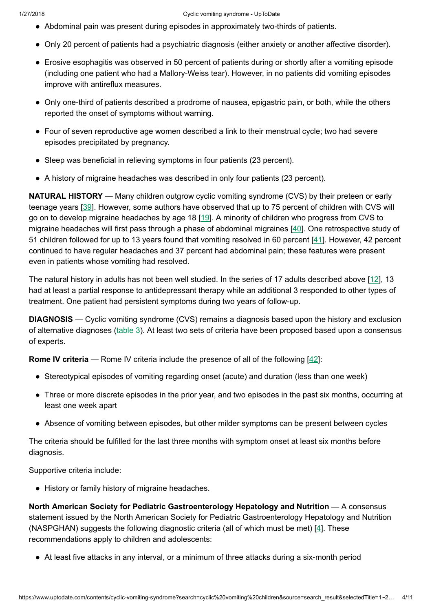- Abdominal pain was present during episodes in approximately two-thirds of patients.
- Only 20 percent of patients had a psychiatric diagnosis (either anxiety or another affective disorder).
- Erosive esophagitis was observed in 50 percent of patients during or shortly after a vomiting episode (including one patient who had a Mallory-Weiss tear). However, in no patients did vomiting episodes improve with antireflux measures.
- Only one-third of patients described a prodrome of nausea, epigastric pain, or both, while the others reported the onset of symptoms without warning.
- Four of seven reproductive age women described a link to their menstrual cycle; two had severe episodes precipitated by pregnancy.
- Sleep was beneficial in relieving symptoms in four patients (23 percent).
- A history of migraine headaches was described in only four patients (23 percent).

**NATURAL HISTORY** — Many children outgrow cyclic vomiting syndrome (CVS) by their preteen or early teenage years [[39\]](https://www.uptodate.com/contents/cyclic-vomiting-syndrome/abstract/39). However, some authors have observed that up to 75 percent of children with CVS will go on to develop migraine headaches by age 18 [[19\]](https://www.uptodate.com/contents/cyclic-vomiting-syndrome/abstract/19). A minority of children who progress from CVS to migraine headaches will first pass through a phase of abdominal migraines [\[40](https://www.uptodate.com/contents/cyclic-vomiting-syndrome/abstract/40)]. One retrospective study of 51 children followed for up to 13 years found that vomiting resolved in 60 percent [\[41](https://www.uptodate.com/contents/cyclic-vomiting-syndrome/abstract/41)]. However, 42 percent continued to have regular headaches and 37 percent had abdominal pain; these features were present even in patients whose vomiting had resolved.

The natural history in adults has not been well studied. In the series of 17 adults described above [\[12](https://www.uptodate.com/contents/cyclic-vomiting-syndrome/abstract/12)], 13 had at least a partial response to antidepressant therapy while an additional 3 responded to other types of treatment. One patient had persistent symptoms during two years of follow-up.

**DIAGNOSIS** — Cyclic vomiting syndrome (CVS) remains a diagnosis based upon the history and exclusion of alternative diagnoses [\(table](https://www.uptodate.com/contents/image?imageKey=GAST%2F57659&topicKey=GAST%2F2588&search=cyclic+vomiting+children&rank=1%7E22&source=see_link) 3). At least two sets of criteria have been proposed based upon a consensus of experts.

**Rome IV criteria** — Rome IV criteria include the presence of all of the following  $[42]$  $[42]$ :

- Stereotypical episodes of vomiting regarding onset (acute) and duration (less than one week)
- Three or more discrete episodes in the prior year, and two episodes in the past six months, occurring at least one week apart
- Absence of vomiting between episodes, but other milder symptoms can be present between cycles

The criteria should be fulfilled for the last three months with symptom onset at least six months before diagnosis.

Supportive criteria include:

● History or family history of migraine headaches.

North American Society for Pediatric Gastroenterology Hepatology and Nutrition — A consensus statement issued by the North American Society for Pediatric Gastroenterology Hepatology and Nutrition (NASPGHAN) suggests the following diagnostic criteria (all of which must be met) [\[4](https://www.uptodate.com/contents/cyclic-vomiting-syndrome/abstract/4)]. These recommendations apply to children and adolescents:

● At least five attacks in any interval, or a minimum of three attacks during a six-month period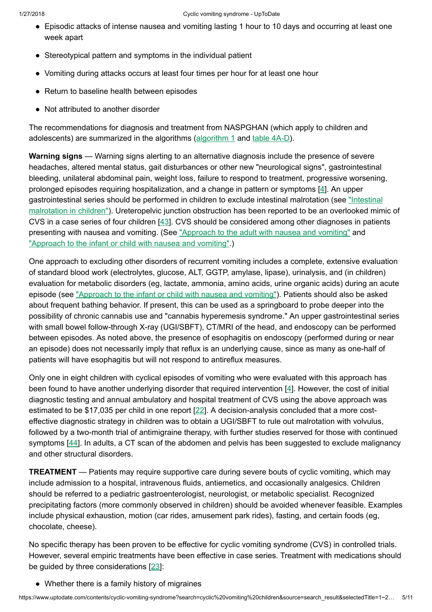- Episodic attacks of intense nausea and vomiting lasting 1 hour to 10 days and occurring at least one week apart
- Stereotypical pattern and symptoms in the individual patient
- Vomiting during attacks occurs at least four times per hour for at least one hour
- Return to baseline health between episodes
- Not attributed to another disorder

The recommendations for diagnosis and treatment from NASPGHAN (which apply to children and adolescents) are summarized in the [algorithm](https://www.uptodate.com/contents/image?imageKey=GAST%2F53337&topicKey=GAST%2F2588&search=cyclic+vomiting+children&rank=1%7E22&source=see_link)s (algorithm 1 and table [4A-D\)](https://www.uptodate.com/contents/image?imageKey=GAST%2F77478%7EGAST%2F68579%7EGAST%2F78562%7EGAST%2F59920&topicKey=GAST%2F2588&search=cyclic+vomiting+children&rank=1%7E22&source=see_link).

Warning signs — Warning signs alerting to an alternative diagnosis include the presence of severe headaches, altered mental status, gait disturbances or other new "neurological signs", gastrointestinal bleeding, unilateral abdominal pain, weight loss, failure to respond to treatment, progressive worsening, prolonged episodes requiring hospitalization, and a change in pattern or symptoms [\[4](https://www.uptodate.com/contents/cyclic-vomiting-syndrome/abstract/4)]. An upper [gastrointestinal series](https://www.uptodate.com/contents/intestinal-malrotation-in-children?source=see_link) should be performed in children to exclude intestinal malrotation (see "Intestinal malrotation in children"). Ureteropelvic junction obstruction has been reported to be an overlooked mimic of CVS in a case series of four children [\[43](https://www.uptodate.com/contents/cyclic-vomiting-syndrome/abstract/43)]. CVS should be considered among other diagnoses in patients presenting with nausea and vomiting. (See ["Approach](https://www.uptodate.com/contents/approach-to-the-adult-with-nausea-and-vomiting?source=see_link) to the adult with nausea and vomiting" and ["Approach](https://www.uptodate.com/contents/approach-to-the-infant-or-child-with-nausea-and-vomiting?source=see_link) to the infant or child with nausea and vomiting".)

One approach to excluding other disorders of recurrent vomiting includes a complete, extensive evaluation of standard blood work (electrolytes, glucose, ALT, GGTP, amylase, lipase), urinalysis, and (in children) evaluation for metabolic disorders (eg, lactate, ammonia, amino acids, urine organic acids) during an acute episode (see ["Approach](https://www.uptodate.com/contents/approach-to-the-infant-or-child-with-nausea-and-vomiting?source=see_link) to the infant or child with nausea and vomiting"). Patients should also be asked about frequent bathing behavior. If present, this can be used as a springboard to probe deeper into the possibility of chronic cannabis use and "cannabis hyperemesis syndrome." An upper gastrointestinal series with small bowel follow-through X-ray (UGI/SBFT), CT/MRI of the head, and endoscopy can be performed between episodes. As noted above, the presence of esophagitis on endoscopy (performed during or near an episode) does not necessarily imply that reflux is an underlying cause, since as many as one-half of patients will have esophagitis but will not respond to antireflux measures.

Only one in eight children with cyclical episodes of vomiting who were evaluated with this approach has been found to have another underlying disorder that required intervention [\[4](https://www.uptodate.com/contents/cyclic-vomiting-syndrome/abstract/4)]. However, the cost of initial diagnostic testing and annual ambulatory and hospital treatment of CVS using the above approach was estimated to be \$17,035 per child in one report [\[22](https://www.uptodate.com/contents/cyclic-vomiting-syndrome/abstract/22)]. A decision-analysis concluded that a more costeffective diagnostic strategy in children was to obtain a UGI/SBFT to rule out malrotation with volvulus, followed by a two-month trial of antimigraine therapy, with further studies reserved for those with continued symptoms [\[44](https://www.uptodate.com/contents/cyclic-vomiting-syndrome/abstract/44)]. In adults, a CT scan of the abdomen and pelvis has been suggested to exclude malignancy and other structural disorders.

**TREATMENT** — Patients may require supportive care during severe bouts of cyclic vomiting, which may include admission to a hospital, intravenous fluids, antiemetics, and occasionally analgesics. Children should be referred to a pediatric gastroenterologist, neurologist, or metabolic specialist. Recognized precipitating factors (more commonly observed in children) should be avoided whenever feasible. Examples include physical exhaustion, motion (car rides, amusement park rides), fasting, and certain foods (eg, chocolate, cheese).

No specific therapy has been proven to be effective for cyclic vomiting syndrome (CVS) in controlled trials. However, several empiric treatments have been effective in case series. Treatment with medications should be guided by three considerations  $[23]$  $[23]$ :

• Whether there is a family history of migraines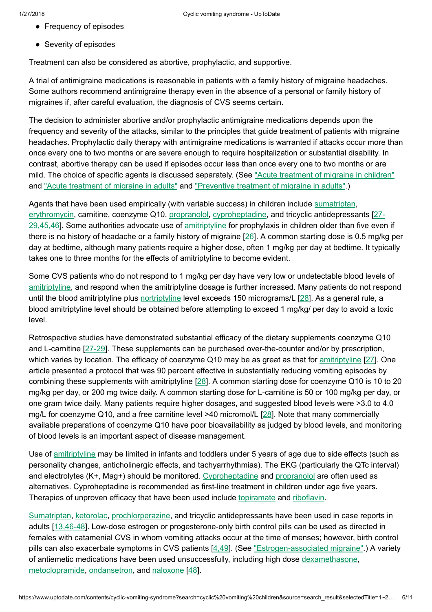- Frequency of episodes
- Severity of episodes

Treatment can also be considered as abortive, prophylactic, and supportive.

A trial of antimigraine medications is reasonable in patients with a family history of migraine headaches. Some authors recommend antimigraine therapy even in the absence of a personal or family history of migraines if, after careful evaluation, the diagnosis of CVS seems certain.

The decision to administer abortive and/or prophylactic antimigraine medications depends upon the frequency and severity of the attacks, similar to the principles that guide treatment of patients with migraine headaches. Prophylactic daily therapy with antimigraine medications is warranted if attacks occur more than once every one to two months or are severe enough to require hospitalization or substantial disability. In contrast, abortive therapy can be used if episodes occur less than once every one to two months or are mild. The choice of specific agents is discussed separately. (See "Acute [treatment](https://www.uptodate.com/contents/acute-treatment-of-migraine-in-children?source=see_link) of migraine in children" and "Acute [treatment](https://www.uptodate.com/contents/acute-treatment-of-migraine-in-adults?source=see_link) of migraine in adults" and ["Preventive](https://www.uptodate.com/contents/preventive-treatment-of-migraine-in-adults?source=see_link) treatment of migraine in adults".)

Agents that have been used empirically (with variable success) in children include [sumatriptan,](https://www.uptodate.com/contents/sumatriptan-drug-information?source=see_link) [erythromycin,](https://www.uptodate.com/contents/erythromycin-drug-information?source=see_link) carnitine, coenzyme Q10, [propranolol](https://www.uptodate.com/contents/propranolol-drug-information?source=see_link), [cyproheptadine,](https://www.uptodate.com/contents/cyclic-vomiting-syndrome/abstract/27-29,45,46) and tricyclic antidepressants [2729,45,46]. Some authorities advocate use of [amitriptyline](https://www.uptodate.com/contents/amitriptyline-drug-information?source=see_link) for prophylaxis in children older than five even if there is no history of headache or a family history of migraine [\[26](https://www.uptodate.com/contents/cyclic-vomiting-syndrome/abstract/26)]. A common starting dose is 0.5 mg/kg per day at bedtime, although many patients require a higher dose, often 1 mg/kg per day at bedtime. It typically takes one to three months for the effects of amitriptyline to become evident.

Some CVS patients who do not respond to 1 mg/kg per day have very low or undetectable blood levels of [amitriptyline](https://www.uptodate.com/contents/amitriptyline-drug-information?source=see_link), and respond when the amitriptyline dosage is further increased. Many patients do not respond until the blood amitriptyline plus [nortriptyline](https://www.uptodate.com/contents/nortriptyline-drug-information?source=see_link) level exceeds 150 micrograms/L [\[28](https://www.uptodate.com/contents/cyclic-vomiting-syndrome/abstract/28)]. As a general rule, a blood amitriptyline level should be obtained before attempting to exceed 1 mg/kg/ per day to avoid a toxic level.

Retrospective studies have demonstrated substantial efficacy of the dietary supplements coenzyme Q10 and L-carnitine [[27-29\]](https://www.uptodate.com/contents/cyclic-vomiting-syndrome/abstract/27-29). These supplements can be purchased over-the-counter and/or by prescription, which varies by location. The efficacy of coenzyme Q10 may be as great as that for [amitriptyline](https://www.uptodate.com/contents/amitriptyline-drug-information?source=see_link) [[27\]](https://www.uptodate.com/contents/cyclic-vomiting-syndrome/abstract/27). One article presented a protocol that was 90 percent effective in substantially reducing vomiting episodes by combining these supplements with amitriptyline [\[28](https://www.uptodate.com/contents/cyclic-vomiting-syndrome/abstract/28)]. A common starting dose for coenzyme Q10 is 10 to 20 mg/kg per day, or 200 mg twice daily. A common starting dose for L-carnitine is 50 or 100 mg/kg per day, or one gram twice daily. Many patients require higher dosages, and suggested blood levels were >3.0 to 4.0 mg/L for coenzyme Q10, and a free carnitine level >40 micromol/L [[28\]](https://www.uptodate.com/contents/cyclic-vomiting-syndrome/abstract/28). Note that many commercially available preparations of coenzyme Q10 have poor bioavailability as judged by blood levels, and monitoring of blood levels is an important aspect of disease management.

Use of [amitriptyline](https://www.uptodate.com/contents/amitriptyline-drug-information?source=see_link) may be limited in infants and toddlers under 5 years of age due to side effects (such as personality changes, anticholinergic effects, and tachyarrhythmias). The EKG (particularly the QTc interval) and electrolytes (K+, Mag+) should be monitored. [Cyproheptadine](https://www.uptodate.com/contents/cyproheptadine-drug-information?source=see_link) and [propranolol](https://www.uptodate.com/contents/propranolol-drug-information?source=see_link) are often used as alternatives. Cyproheptadine is recommended as first-line treatment in children under age five years. Therapies of unproven efficacy that have been used include [topiramate](https://www.uptodate.com/contents/topiramate-drug-information?source=see_link) and [riboflavin.](https://www.uptodate.com/contents/vitamin-b2-riboflavin-drug-information?source=see_link)

[Sumatriptan](https://www.uptodate.com/contents/sumatriptan-drug-information?source=see_link), [ketorolac,](https://www.uptodate.com/contents/ketorolac-drug-information?source=see_link) [prochlorperazine,](https://www.uptodate.com/contents/prochlorperazine-drug-information?source=see_link) and tricyclic antidepressants have been used in case reports in adults [[13,46-48\]](https://www.uptodate.com/contents/cyclic-vomiting-syndrome/abstract/13,46-48). Low-dose estrogen or progesterone-only birth control pills can be used as directed in females with catamenial CVS in whom vomiting attacks occur at the time of menses; however, birth control pills can also exacerbate symptoms in CVS patients [[4,49\]](https://www.uptodate.com/contents/cyclic-vomiting-syndrome/abstract/4,49). (See ["Estrogen-associated](https://www.uptodate.com/contents/estrogen-associated-migraine?source=see_link) migraine".) A variety of antiemetic medications have been used unsuccessfully, including high dose [dexamethasone,](https://www.uptodate.com/contents/dexamethasone-drug-information?source=see_link) [metoclopramide,](https://www.uptodate.com/contents/metoclopramide-drug-information?source=see_link) [ondansetron,](https://www.uptodate.com/contents/ondansetron-drug-information?source=see_link) and [naloxone](https://www.uptodate.com/contents/naloxone-drug-information?source=see_link) [\[48](https://www.uptodate.com/contents/cyclic-vomiting-syndrome/abstract/48)].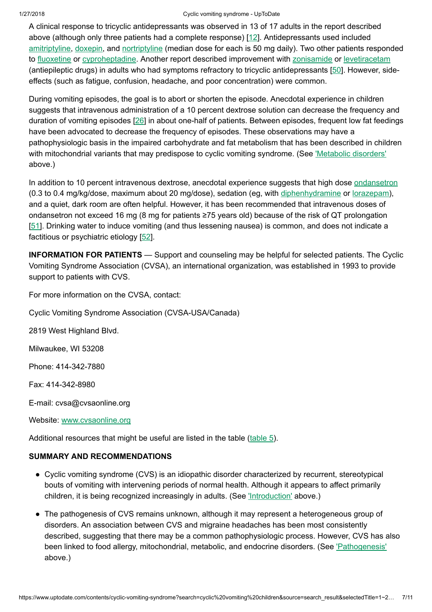## 1/27/2018 Cyclic vomiting syndrome - UpToDate

A clinical response to tricyclic antidepressants was observed in 13 of 17 adults in the report described above (although only three patients had a complete response) [[12\]](https://www.uptodate.com/contents/cyclic-vomiting-syndrome/abstract/12). Antidepressants used included [amitriptyline](https://www.uptodate.com/contents/amitriptyline-drug-information?source=see_link), [doxepin,](https://www.uptodate.com/contents/doxepin-drug-information?source=see_link) and [nortriptyline](https://www.uptodate.com/contents/nortriptyline-drug-information?source=see_link) (median dose for each is 50 mg daily). Two other patients responded to [fluoxetine](https://www.uptodate.com/contents/fluoxetine-drug-information?source=see_link) or [cyproheptadine](https://www.uptodate.com/contents/cyproheptadine-drug-information?source=see_link). Another report described improvement with [zonisamide](https://www.uptodate.com/contents/zonisamide-drug-information?source=see_link) or [levetiracetam](https://www.uptodate.com/contents/levetiracetam-drug-information?source=see_link) (antiepileptic drugs) in adults who had symptoms refractory to tricyclic antidepressants [\[50](https://www.uptodate.com/contents/cyclic-vomiting-syndrome/abstract/50)]. However, sideeffects (such as fatigue, confusion, headache, and poor concentration) were common.

During vomiting episodes, the goal is to abort or shorten the episode. Anecdotal experience in children suggests that intravenous administration of a 10 percent dextrose solution can decrease the frequency and duration of vomiting episodes [[26\]](https://www.uptodate.com/contents/cyclic-vomiting-syndrome/abstract/26) in about one-half of patients. Between episodes, frequent low fat feedings have been advocated to decrease the frequency of episodes. These observations may have a pathophysiologic basis in the impaired carbohydrate and fat metabolism that has been described in children with mitochondrial variants that may predispose to cyclic vomiting syndrome. (See ['Metabolic](https://www.uptodate.com/contents/cyclic-vomiting-syndrome?search=cyclic%20vomiting%20children&source=search_result&selectedTitle=1~22&usage_type=default&display_rank=1#H5) disorders' above.)

In addition to 10 percent intravenous dextrose, anecdotal experience suggests that high dose [ondansetron](https://www.uptodate.com/contents/ondansetron-drug-information?source=see_link) (0.3 to 0.4 mg/kg/dose, maximum about 20 mg/dose), sedation (eg, with [diphenhydramine](https://www.uptodate.com/contents/diphenhydramine-drug-information?source=see_link) or [lorazepam](https://www.uptodate.com/contents/lorazepam-drug-information?source=see_link)), and a quiet, dark room are often helpful. However, it has been recommended that intravenous doses of ondansetron not exceed 16 mg (8 mg for patients ≥75 years old) because of the risk of QT prolongation [[51\]](https://www.uptodate.com/contents/cyclic-vomiting-syndrome/abstract/51). Drinking water to induce vomiting (and thus lessening nausea) is common, and does not indicate a factitious or psychiatric etiology [[52\]](https://www.uptodate.com/contents/cyclic-vomiting-syndrome/abstract/52).

INFORMATION FOR PATIENTS — Support and counseling may be helpful for selected patients. The Cyclic Vomiting Syndrome Association (CVSA), an international organization, was established in 1993 to provide support to patients with CVS.

For more information on the CVSA, contact:

Cyclic Vomiting Syndrome Association (CVSA-USA/Canada)

2819 West Highland Blvd.

Milwaukee, WI 53208

Phone: 414-342-7880

Fax: 414-342-8980

E-mail: cvsa@cvsaonline.org

Website: [www.cvsaonline.org](https://www.uptodate.com/external-redirect.do?target_url=http%3A%2F%2Fwww.cvsaonline.org%2F&TOPIC_ID=2588)

Additional resources that might be useful are listed in the table  $(table 5)$  $(table 5)$ .

## SUMMARY AND RECOMMENDATIONS

- Cyclic vomiting syndrome (CVS) is an idiopathic disorder characterized by recurrent, stereotypical bouts of vomiting with intervening periods of normal health. Although it appears to affect primarily children, it is being recognized increasingly in adults. (See ['Introduction'](https://www.uptodate.com/contents/cyclic-vomiting-syndrome?search=cyclic%20vomiting%20children&source=search_result&selectedTitle=1~22&usage_type=default&display_rank=1#H1) above.)
- The pathogenesis of CVS remains unknown, although it may represent a heterogeneous group of disorders. An association between CVS and migraine headaches has been most consistently described, suggesting that there may be a common pathophysiologic process. However, CVS has also been linked to food allergy, mitochondrial, metabolic, and endocrine disorders. (See ['Pathogenesis'](https://www.uptodate.com/contents/cyclic-vomiting-syndrome?search=cyclic%20vomiting%20children&source=search_result&selectedTitle=1~22&usage_type=default&display_rank=1#H3) above.)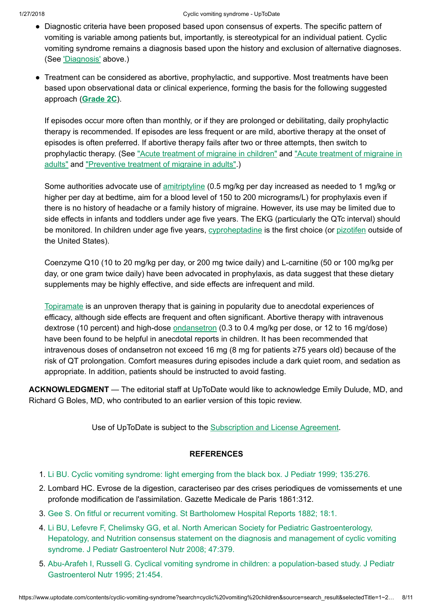- Diagnostic criteria have been proposed based upon consensus of experts. The specific pattern of vomiting is variable among patients but, importantly, is stereotypical for an individual patient. Cyclic vomiting syndrome remains a diagnosis based upon the history and exclusion of alternative diagnoses. (See ['Diagnosis'](https://www.uptodate.com/contents/cyclic-vomiting-syndrome?search=cyclic%20vomiting%20children&source=search_result&selectedTitle=1~22&usage_type=default&display_rank=1#H13) above.)
- Treatment can be considered as abortive, prophylactic, and supportive. Most treatments have been based upon observational data or clinical experience, forming the basis for the following suggested approach ([Grade](https://www.uptodate.com/contents/grade/6?title=Grade%202C&topicKey=GAST/2588) 2C).

If episodes occur more often than monthly, or if they are prolonged or debilitating, daily prophylactic therapy is recommended. If episodes are less frequent or are mild, abortive therapy at the onset of episodes is often preferred. If abortive therapy fails after two or three attempts, then switch to [prophylactic](https://www.uptodate.com/contents/acute-treatment-of-migraine-in-adults?source=see_link) therapy. (See "Acute [treatment](https://www.uptodate.com/contents/acute-treatment-of-migraine-in-children?source=see_link) of migraine in children" and "Acute treatment of migraine in adults" and ["Preventive](https://www.uptodate.com/contents/preventive-treatment-of-migraine-in-adults?source=see_link) treatment of migraine in adults".)

Some authorities advocate use of [amitriptyline](https://www.uptodate.com/contents/amitriptyline-drug-information?source=see_link) (0.5 mg/kg per day increased as needed to 1 mg/kg or higher per day at bedtime, aim for a blood level of 150 to 200 micrograms/L) for prophylaxis even if there is no history of headache or a family history of migraine. However, its use may be limited due to side effects in infants and toddlers under age five years. The EKG (particularly the QTc interval) should be monitored. In children under age five years, [cyproheptadine](https://www.uptodate.com/contents/cyproheptadine-drug-information?source=see_link) is the first choice (or [pizotifen](https://www.uptodate.com/contents/pizotifen-united-states-not-available-drug-information?source=see_link) outside of the United States).

Coenzyme Q10 (10 to 20 mg/kg per day, or 200 mg twice daily) and L-carnitine (50 or 100 mg/kg per day, or one gram twice daily) have been advocated in prophylaxis, as data suggest that these dietary supplements may be highly effective, and side effects are infrequent and mild.

[Topiramate](https://www.uptodate.com/contents/topiramate-drug-information?source=see_link) is an unproven therapy that is gaining in popularity due to anecdotal experiences of efficacy, although side effects are frequent and often significant. Abortive therapy with intravenous dextrose (10 percent) and high-dose [ondansetron](https://www.uptodate.com/contents/ondansetron-drug-information?source=see_link) (0.3 to 0.4 mg/kg per dose, or 12 to 16 mg/dose) have been found to be helpful in anecdotal reports in children. It has been recommended that intravenous doses of ondansetron not exceed 16 mg (8 mg for patients ≥75 years old) because of the risk of QT prolongation. Comfort measures during episodes include a dark quiet room, and sedation as appropriate. In addition, patients should be instructed to avoid fasting.

ACKNOWLEDGMENT — The editorial staff at UpToDate would like to acknowledge Emily Dulude, MD, and Richard G Boles, MD, who contributed to an earlier version of this topic review.

Use of UpToDate is subject to the [Subscription](https://www.uptodate.com/legal/license) and License Agreement.

## **REFERENCES**

- 1. Li BU. Cyclic vomiting [syndrome:](https://www.uptodate.com/contents/cyclic-vomiting-syndrome/abstract/1) light emerging from the black box. J Pediatr 1999; 135:276.
- 2. Lombard HC. Evrose de la digestion, caracteriseo par des crises periodiques de vomissements et une profonde modification de l'assimilation. Gazette Medicale de Paris 1861:312.
- 3. Gee S. On fitful or recurrent vomiting. St Bartholomew [Hospital Reports](https://www.uptodate.com/contents/cyclic-vomiting-syndrome/abstract/3) 1882; 18:1.
- 4. Li BU, Lefevre F, Chelimsky GG, et al. North American Society for Pediatric Gastroenterology, Hepatology, and Nutrition consensus statement on the diagnosis and management of cyclic vomiting syndrome. J Pediatr [Gastroenterol Nutr](https://www.uptodate.com/contents/cyclic-vomiting-syndrome/abstract/4) 2008; 47:379.
- 5. Abu-Arafeh I, Russell G. Cyclical vomiting syndrome in children: a population-based study. J Pediatr [Gastroenterol Nutr](https://www.uptodate.com/contents/cyclic-vomiting-syndrome/abstract/5) 1995; 21:454.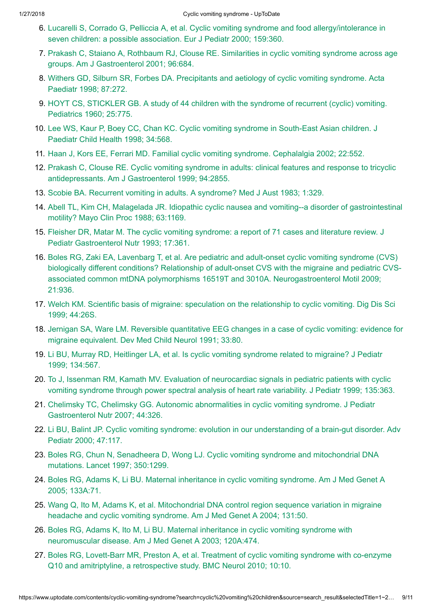- 6. Lucarelli S, Corrado G, Pelliccia A, et al. Cyclic vomiting syndrome and food [allergy/intolerance](https://www.uptodate.com/contents/cyclic-vomiting-syndrome/abstract/6) in seven children: a possible association. Eur J Pediatr 2000; 159:360.
- 7. Prakash C, Staiano A, Rothbaum RJ, Clouse RE. Similarities in cyclic vomiting syndrome across age groups. Am J [Gastroenterol 2001;](https://www.uptodate.com/contents/cyclic-vomiting-syndrome/abstract/7) 96:684.
- 8. Withers GD, Silburn SR, Forbes DA. [Precipitants](https://www.uptodate.com/contents/cyclic-vomiting-syndrome/abstract/8) and aetiology of cyclic vomiting syndrome. Acta Paediatr 1998; 87:272.
- 9. HOYT CS, [STICKLER](https://www.uptodate.com/contents/cyclic-vomiting-syndrome/abstract/9) GB. A study of 44 children with the syndrome of recurrent (cyclic) vomiting. Pediatrics 1960; 25:775.
- 10. Lee WS, Kaur P, Boey CC, Chan KC. Cyclic vomiting syndrome in [South-East](https://www.uptodate.com/contents/cyclic-vomiting-syndrome/abstract/10) Asian children. J Paediatr Child Health 1998; 34:568.
- 11. Haan J, Kors EE, Ferrari MD. [Familial cyclic](https://www.uptodate.com/contents/cyclic-vomiting-syndrome/abstract/11) vomiting syndrome. Cephalalgia 2002; 22:552.
- 12. Prakash C, Clouse RE. Cyclic vomiting syndrome in adults: clinical features and response to tricyclic antidepressants. Am J [Gastroenterol 1999;](https://www.uptodate.com/contents/cyclic-vomiting-syndrome/abstract/12) 94:2855.
- 13. Scobie BA. Recurrent vomiting in adults. A [syndrome?](https://www.uptodate.com/contents/cyclic-vomiting-syndrome/abstract/13) Med J Aust 1983; 1:329.
- 14. Abell TL, Kim CH, Malagelada JR. Idiopathic cyclic nausea and vomiting--a disorder of [gastrointestinal](https://www.uptodate.com/contents/cyclic-vomiting-syndrome/abstract/14) motility? Mayo Clin Proc 1988; 63:1169.
- 15. Fleisher DR, Matar M. The cyclic vomiting syndrome: a report of 71 cases and literature review. J Pediatr [Gastroenterol Nutr](https://www.uptodate.com/contents/cyclic-vomiting-syndrome/abstract/15) 1993; 17:361.
- 16. Boles RG, Zaki EA, Lavenbarg T, et al. Are pediatric and adult-onset cyclic vomiting syndrome (CVS) biologically different conditions? Relationship of adult-onset CVS with the migraine and pediatric CVSassociated common mtDNA polymorphisms 16519T and 3010A. [Neurogastroenterol Motil 2009;](https://www.uptodate.com/contents/cyclic-vomiting-syndrome/abstract/16) 21:936.
- 17. Welch KM. Scientific basis of migraine: speculation on the [relationship](https://www.uptodate.com/contents/cyclic-vomiting-syndrome/abstract/17) to cyclic vomiting. Dig Dis Sci 1999; 44:26S.
- 18. Jernigan SA, Ware LM. Reversible quantitative EEG changes in a case of cyclic vomiting: evidence for migraine equivalent. Dev Med Child [Neurol 1991;](https://www.uptodate.com/contents/cyclic-vomiting-syndrome/abstract/18) 33:80.
- 19. Li BU, Murray RD, Heitlinger LA, et al. Is cyclic vomiting syndrome related to [migraine?](https://www.uptodate.com/contents/cyclic-vomiting-syndrome/abstract/19) J Pediatr 1999; 134:567.
- 20. To J, Issenman RM, Kamath MV. Evaluation of neurocardiac signals in pediatric patients with cyclic vomiting syndrome through power [spectral analysis](https://www.uptodate.com/contents/cyclic-vomiting-syndrome/abstract/20) of heart rate variability. J Pediatr 1999; 135:363.
- 21. Chelimsky TC, Chelimsky GG. Autonomic abnormalities in cyclic vomiting syndrome. J Pediatr [Gastroenterol Nutr](https://www.uptodate.com/contents/cyclic-vomiting-syndrome/abstract/21) 2007; 44:326.
- 22. Li BU, Balint JP. Cyclic vomiting syndrome: evolution in our [understanding](https://www.uptodate.com/contents/cyclic-vomiting-syndrome/abstract/22) of a brain-gut disorder. Adv Pediatr 2000; 47:117.
- 23. Boles RG, Chun N, Senadheera D, Wong LJ. Cyclic vomiting syndrome and [mitochondrial DNA](https://www.uptodate.com/contents/cyclic-vomiting-syndrome/abstract/23) mutations. Lancet 1997; 350:1299.
- 24. Boles RG, Adams K, Li BU. [Maternal inheritance](https://www.uptodate.com/contents/cyclic-vomiting-syndrome/abstract/24) in cyclic vomiting syndrome. Am J Med Genet A 2005; 133A:71.
- 25. Wang Q, Ito M, Adams K, et al. [Mitochondrial DNA](https://www.uptodate.com/contents/cyclic-vomiting-syndrome/abstract/25) control region sequence variation in migraine headache and cyclic vomiting syndrome. Am J Med Genet A 2004; 131:50.
- 26. Boles RG, Adams K, Ito M, Li BU. [Maternal inheritance](https://www.uptodate.com/contents/cyclic-vomiting-syndrome/abstract/26) in cyclic vomiting syndrome with neuromuscular disease. Am J Med Genet A 2003; 120A:474.
- 27. Boles RG, Lovett-Barr MR, Preston A, et al. Treatment of cyclic vomiting syndrome with co-enzyme Q10 and amitriptyline, a retrospective study. BMC [Neurol 2010;](https://www.uptodate.com/contents/cyclic-vomiting-syndrome/abstract/27) 10:10.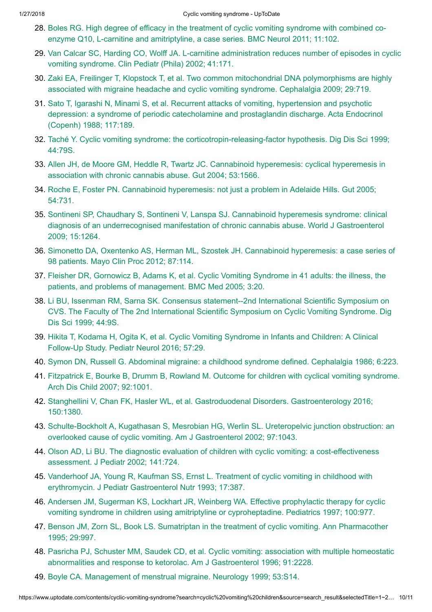- 28. Boles RG. High degree of efficacy in the treatment of cyclic vomiting syndrome with combined coenzyme Q10, L-carnitine and amitriptyline, a case series. BMC [Neurol 2011;](https://www.uptodate.com/contents/cyclic-vomiting-syndrome/abstract/28) 11:102.
- 29. Van Calcar SC, Harding CO, Wolff JA. L-carnitine [administration](https://www.uptodate.com/contents/cyclic-vomiting-syndrome/abstract/29) reduces number of episodes in cyclic vomiting syndrome. Clin Pediatr (Phila) 2002; 41:171.
- 30. Zaki EA, Freilinger T, Klopstock T, et al. Two common [mitochondrial DNA](https://www.uptodate.com/contents/cyclic-vomiting-syndrome/abstract/30) polymorphisms are highly associated with migraine headache and cyclic vomiting syndrome. Cephalalgia 2009; 29:719.
- 31. Sato T, Igarashi N, Minami S, et al. Recurrent attacks of vomiting, hypertension and psychotic depression: a syndrome of periodic [catecholamine](https://www.uptodate.com/contents/cyclic-vomiting-syndrome/abstract/31) and prostaglandin discharge. Acta Endocrinol (Copenh) 1988; 117:189.
- 32. Taché Y. Cyclic vomiting syndrome: the [corticotropin-releasing-factor](https://www.uptodate.com/contents/cyclic-vomiting-syndrome/abstract/32) hypothesis. Dig Dis Sci 1999; 44:79S.
- 33. Allen JH, de Moore GM, Heddle R, Twartz JC. Cannabinoid hyperemesis: [cyclical hyperemesis](https://www.uptodate.com/contents/cyclic-vomiting-syndrome/abstract/33) in association with chronic cannabis abuse. Gut 2004; 53:1566.
- 34. Roche E, Foster PN. Cannabinoid [hyperemesis:](https://www.uptodate.com/contents/cyclic-vomiting-syndrome/abstract/34) not just a problem in Adelaide Hills. Gut 2005; 54:731.
- 35. Sontineni SP, Chaudhary S, Sontineni V, Lanspa SJ. Cannabinoid hyperemesis syndrome: clinical diagnosis of an [underrecognised](https://www.uptodate.com/contents/cyclic-vomiting-syndrome/abstract/35) manifestation of chronic cannabis abuse. World J Gastroenterol 2009; 15:1264.
- 36. Simonetto DA, Oxentenko AS, Herman ML, Szostek JH. Cannabinoid [hyperemesis:](https://www.uptodate.com/contents/cyclic-vomiting-syndrome/abstract/36) a case series of 98 patients. Mayo Clin Proc 2012; 87:114.
- 37. Fleisher DR, Gornowicz B, Adams K, et al. Cyclic Vomiting Syndrome in 41 adults: the illness, the patients, and problems of [management.](https://www.uptodate.com/contents/cyclic-vomiting-syndrome/abstract/37) BMC Med 2005; 3:20.
- 38. Li BU, Issenman RM, Sarna SK. Consensus statement--2nd [International Scientific](https://www.uptodate.com/contents/cyclic-vomiting-syndrome/abstract/38) Symposium on CVS. The Faculty of The 2nd International Scientific Symposium on Cyclic Vomiting Syndrome. Dig Dis Sci 1999; 44:9S.
- 39. Hikita T, Kodama H, Ogita K, et al. Cyclic Vomiting Syndrome in Infants and Children: A Clinical Follow-Up Study. Pediatr [Neurol 2016;](https://www.uptodate.com/contents/cyclic-vomiting-syndrome/abstract/39) 57:29.
- 40. Symon DN, Russell G. [Abdominal migraine:](https://www.uptodate.com/contents/cyclic-vomiting-syndrome/abstract/40) a childhood syndrome defined. Cephalalgia 1986; 6:223.
- 41. Fitzpatrick E, Bourke B, Drumm B, Rowland M. Outcome for children with [cyclical vomiting](https://www.uptodate.com/contents/cyclic-vomiting-syndrome/abstract/41) syndrome. Arch Dis Child 2007; 92:1001.
- 42. Stanghellini V, Chan FK, Hasler WL, et al. [Gastroduodenal Disorders.](https://www.uptodate.com/contents/cyclic-vomiting-syndrome/abstract/42) Gastroenterology 2016; 150:1380.
- 43. Schulte-Bockholt A, Kugathasan S, Mesrobian HG, Werlin SL. Ureteropelvic junction obstruction: an overlooked cause of cyclic vomiting. Am J [Gastroenterol 2002;](https://www.uptodate.com/contents/cyclic-vomiting-syndrome/abstract/43) 97:1043.
- 44. Olson AD, Li BU. The diagnostic evaluation of children with cyclic vomiting: a [cost-effectiveness](https://www.uptodate.com/contents/cyclic-vomiting-syndrome/abstract/44) assessment. J Pediatr 2002; 141:724.
- 45. Vanderhoof JA, Young R, Kaufman SS, Ernst L. Treatment of cyclic vomiting in childhood with erythromycin. J Pediatr [Gastroenterol Nutr](https://www.uptodate.com/contents/cyclic-vomiting-syndrome/abstract/45) 1993; 17:387.
- 46. Andersen JM, Sugerman KS, Lockhart JR, Weinberg WA. Effective prophylactic therapy for cyclic vomiting syndrome in children using amitriptyline or [cyproheptadine.](https://www.uptodate.com/contents/cyclic-vomiting-syndrome/abstract/46) Pediatrics 1997; 100:977.
- 47. Benson JM, Zorn SL, Book LS. Sumatriptan in the treatment of cyclic vomiting. Ann [Pharmacother](https://www.uptodate.com/contents/cyclic-vomiting-syndrome/abstract/47) 1995; 29:997.
- 48. Pasricha PJ, Schuster MM, Saudek CD, et al. Cyclic vomiting: association with multiple homeostatic abnormalities and response to ketorolac. Am J [Gastroenterol 1996;](https://www.uptodate.com/contents/cyclic-vomiting-syndrome/abstract/48) 91:2228.
- 49. Boyle CA. Management of [menstrual migraine.](https://www.uptodate.com/contents/cyclic-vomiting-syndrome/abstract/49) Neurology 1999; 53:S14.